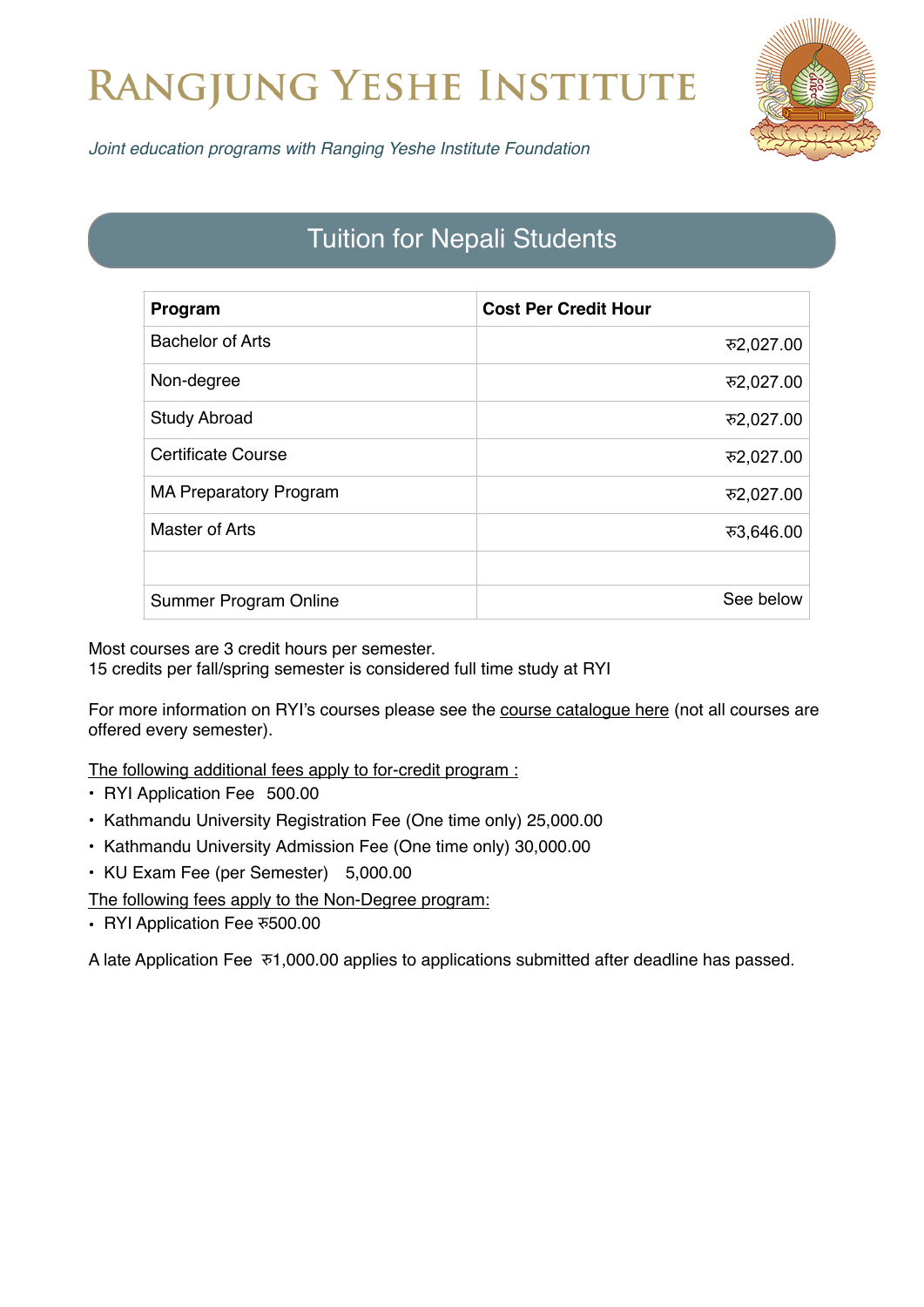## RANGJUNG YESHE INSTITUTE



*Joint education programs with Ranging Yeshe Institute Foundation*

## Tuition for Nepali Students

| Program                       | <b>Cost Per Credit Hour</b> |
|-------------------------------|-----------------------------|
| <b>Bachelor of Arts</b>       | रु2,027.00                  |
| Non-degree                    | रु2,027.00                  |
| <b>Study Abroad</b>           | रु2,027.00                  |
| Certificate Course            | रु2,027.00                  |
| <b>MA Preparatory Program</b> | रु2,027.00                  |
| Master of Arts                | ক3,646.00                   |
|                               |                             |
| Summer Program Online         | See below                   |

Most courses are 3 credit hours per semester. 15 credits per fall/spring semester is considered full time study at RYI

For more information on RYI's courses please see the [course catalogue here](https://ryi.org/courses) (not all courses are offered every semester).

The following additional fees apply to for-credit program :

- RYI Application Fee 500.00
- Kathmandu University Registration Fee (One time only) 25,000.00
- Kathmandu University Admission Fee (One time only) 30,000.00
- KU Exam Fee (per Semester) 5,000.00

The following fees apply to the Non-Degree program:

• RYI Application Fee रु500.00

A late Application Fee रु1,000.00 applies to applications submitted after deadline has passed.